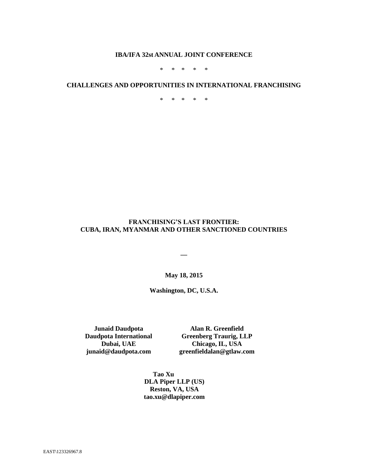#### **IBA/IFA 32st ANNUAL JOINT CONFERENCE**

\* \* \* \* \*

#### **CHALLENGES AND OPPORTUNITIES IN INTERNATIONAL FRANCHISING**

\* \* \* \* \*

### **FRANCHISING'S LAST FRONTIER: CUBA, IRAN, MYANMAR AND OTHER SANCTIONED COUNTRIES**

**\_\_**

**May 18, 2015**

**Washington, DC, U.S.A.**

**Junaid Daudpota Daudpota International Dubai, UAE [junaid@daudpota.com](mailto:junaid@daudpota.com)**

**Alan R. Greenfield Greenberg Traurig, LLP Chicago, IL, USA greenfieldalan@gtlaw.com**

**Tao Xu DLA Piper LLP (US) Reston, VA, USA tao.xu@dlapiper.com**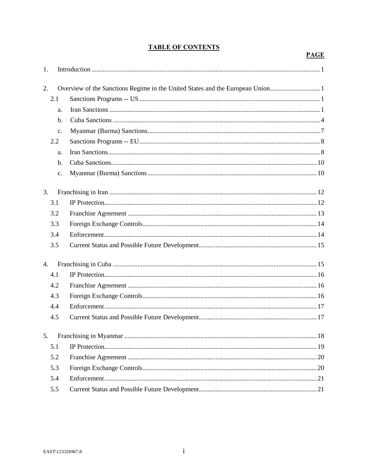# **TABLE OF CONTENTS**

**PAGE** 

| 1.  |                |                                                                               |  |
|-----|----------------|-------------------------------------------------------------------------------|--|
| 2.  |                | Overview of the Sanctions Regime in the United States and the European Union1 |  |
| 2.1 |                |                                                                               |  |
|     | a.             |                                                                               |  |
|     | b.             |                                                                               |  |
|     | C <sub>1</sub> |                                                                               |  |
| 2.2 |                |                                                                               |  |
|     | a.             |                                                                               |  |
|     | $\mathbf{b}$ . |                                                                               |  |
|     | $\mathbf{c}$ . |                                                                               |  |
| 3.  |                |                                                                               |  |
| 3.1 |                |                                                                               |  |
| 3.2 |                |                                                                               |  |
| 3.3 |                |                                                                               |  |
|     | 3.4            |                                                                               |  |
| 3.5 |                |                                                                               |  |
| 4.  |                |                                                                               |  |
| 4.1 |                |                                                                               |  |
|     | 4.2            |                                                                               |  |
| 4.3 |                |                                                                               |  |
|     | 4.4            |                                                                               |  |
| 4.5 |                |                                                                               |  |
| 5.  |                |                                                                               |  |
| 5.1 |                |                                                                               |  |
| 5.2 |                |                                                                               |  |
| 5.3 |                |                                                                               |  |
|     | 5.4            |                                                                               |  |
|     | 5.5            |                                                                               |  |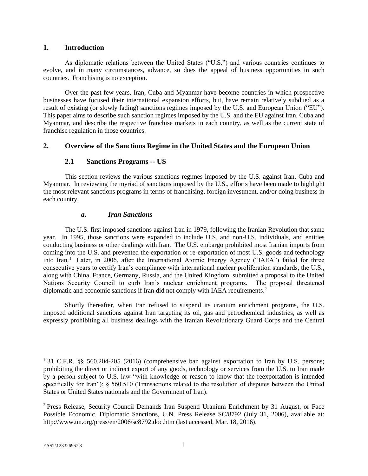#### **1. Introduction**

As diplomatic relations between the United States ("U.S.") and various countries continues to evolve, and in many circumstances, advance, so does the appeal of business opportunities in such countries. Franchising is no exception.

Over the past few years, Iran, Cuba and Myanmar have become countries in which prospective businesses have focused their international expansion efforts, but, have remain relatively subdued as a result of existing (or slowly fading) sanctions regimes imposed by the U.S. and European Union ("EU"). This paper aims to describe such sanction regimes imposed by the U.S. and the EU against Iran, Cuba and Myanmar, and describe the respective franchise markets in each country, as well as the current state of franchise regulation in those countries.

### **2. Overview of the Sanctions Regime in the United States and the European Union**

### **2.1 Sanctions Programs -- US**

This section reviews the various sanctions regimes imposed by the U.S. against Iran, Cuba and Myanmar. In reviewing the myriad of sanctions imposed by the U.S., efforts have been made to highlight the most relevant sanctions programs in terms of franchising, foreign investment, and/or doing business in each country.

### *a. Iran Sanctions*

The U.S. first imposed sanctions against Iran in 1979, following the Iranian Revolution that same year. In 1995, those sanctions were expanded to include U.S. and non-U.S. individuals, and entities conducting business or other dealings with Iran. The U.S. embargo prohibited most Iranian imports from coming into the U.S. and prevented the exportation or re-exportation of most U.S. goods and technology into Iran.<sup>1</sup> Later, in 2006, after the International Atomic Energy Agency ("IAEA") failed for three consecutive years to certify Iran's compliance with international nuclear proliferation standards, the U.S., along with China, France, Germany, Russia, and the United Kingdom, submitted a proposal to the United Nations Security Council to curb Iran's nuclear enrichment programs. The proposal threatened diplomatic and economic sanctions if Iran did not comply with IAEA requirements.<sup>2</sup>

Shortly thereafter, when Iran refused to suspend its uranium enrichment programs, the U.S. imposed additional sanctions against Iran targeting its oil, gas and petrochemical industries, as well as expressly prohibiting all business dealings with the Iranian Revolutionary Guard Corps and the Central

<sup>&</sup>lt;sup>1</sup> 31 C.F.R. §§ 560.204-205 (2016) (comprehensive ban against exportation to Iran by U.S. persons; prohibiting the direct or indirect export of any goods, technology or services from the U.S. to Iran made by a person subject to U.S. law "with knowledge or reason to know that the reexportation is intended specifically for Iran"); § 560.510 (Transactions related to the resolution of disputes between the United States or United States nationals and the Government of Iran).

<sup>&</sup>lt;sup>2</sup> Press Release, Security Council Demands Iran Suspend Uranium Enrichment by 31 August, or Face Possible Economic, Diplomatic Sanctions, U.N. Press Release SC/8792 (July 31, 2006), available at: http://www.un.org/press/en/2006/sc8792.doc.htm (last accessed, Mar. 18, 2016).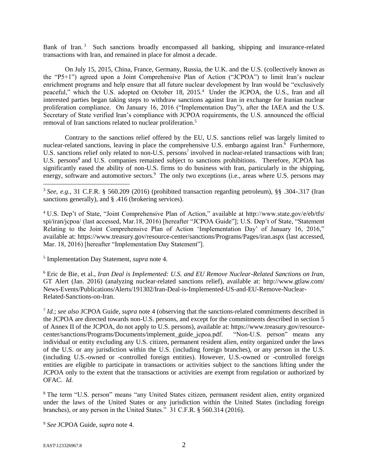Bank of Iran.<sup>3</sup> Such sanctions broadly encompassed all banking, shipping and insurance-related transactions with Iran, and remained in place for almost a decade.

On July 15, 2015, China, France, Germany, Russia, the U.K. and the U.S. (collectively known as the "P5+1") agreed upon a Joint Comprehensive Plan of Action ("JCPOA") to limit Iran's nuclear enrichment programs and help ensure that all future nuclear development by Iran would be "exclusively peaceful," which the U.S. adopted on October 18, 2015.<sup>4</sup> Under the JCPOA, the U.S., Iran and all interested parties began taking steps to withdraw sanctions against Iran in exchange for Iranian nuclear proliferation compliance. On January 16, 2016 ("Implementation Day"), after the IAEA and the U.S. Secretary of State verified Iran's compliance with JCPOA requirements, the U.S. announced the official removal of Iran sanctions related to nuclear proliferation.<sup>5</sup>

Contrary to the sanctions relief offered by the EU, U.S. sanctions relief was largely limited to nuclear-related sanctions, leaving in place the comprehensive U.S. embargo against Iran.<sup>6</sup> Furthermore, U.S. sanctions relief only related to non-U.S. persons<sup>7</sup> involved in nuclear-related transactions with Iran; U.S. persons<sup>8</sup> and U.S. companies remained subject to sanctions prohibitions. Therefore, JCPOA has significantly eased the ability of non-U.S. firms to do business with Iran, particularly in the shipping, energy, software and automotive sectors.<sup>9</sup> The only two exceptions (i.e., areas where U.S. persons may

<sup>4</sup> U.S. Dep't of State, "Joint Comprehensive Plan of Action," available at http://www.state.gov/e/eb/tfs/ spi/iran/jcpoa/ (last accessed, Mar.18, 2016) [hereafter "JCPOA Guide"]; U.S. Dep't of State, "Statement Relating to the Joint Comprehensive Plan of Action 'Implementation Day' of January 16, 2016," available at: https://www.treasury.gov/resource-center/sanctions/Programs/Pages/iran.aspx (last accessed, Mar. 18, 2016) [hereafter "Implementation Day Statement"].

5 Implementation Day Statement, *supra* note 4.

<sup>6</sup> Eric de Bie, et al., *Iran Deal is Implemented: U.S. and EU Remove Nuclear-Related Sanctions on Iran*, GT Alert (Jan. 2016) (analyzing nuclear-related sanctions relief), available at: http://www.gtlaw.com/ News-Events/Publications/Alerts/191302/Iran-Deal-is-Implemented-US-and-EU-Remove-Nuclear-Related-Sanctions-on-Iran.

7 *Id.*; *see also* JCPOA Guide, *supra* note 4 (observing that the sanctions-related commitments described in the JCPOA are directed towards non-U.S. persons, and except for the commitments described in section 5 of Annex II of the JCPOA, do not apply to U.S. persons), available at: https://www.treasury.gov/resourcecenter/sanctions/Programs/Documents/implement\_guide\_jcpoa.pdf. "Non-U.S. person" means any individual or entity excluding any U.S. citizen, permanent resident alien, entity organized under the laws of the U.S. or any jurisdiction within the U.S. (including foreign branches), or any person in the U.S. (including U.S.-owned or -controlled foreign entities). However, U.S.-owned or -controlled foreign entities are eligible to participate in transactions or activities subject to the sanctions lifting under the JCPOA only to the extent that the transactions or activities are exempt from regulation or authorized by OFAC. *Id.*

<sup>8</sup> The term "U.S. person" means "any United States citizen, permanent resident alien, entity organized under the laws of the United States or any jurisdiction within the United States (including foreign branches), or any person in the United States." 31 C.F.R. § 560.314 (2016).

<sup>9</sup> *See* JCPOA Guide, *supra* note 4.

<sup>3</sup> *See*, *e.g.*, 31 C.F.R. § 560.209 (2016) (prohibited transaction regarding petroleum), §§ .304-.317 (Iran sanctions generally), and § .416 (brokering services).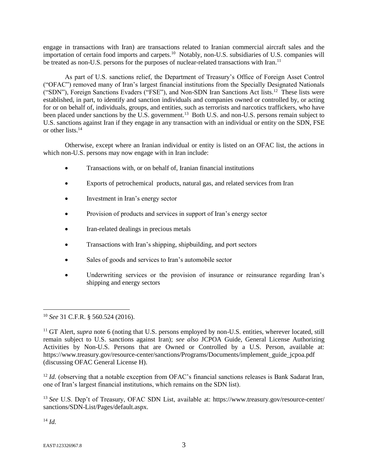engage in transactions with Iran) are transactions related to Iranian commercial aircraft sales and the importation of certain food imports and carpets.<sup>10</sup> Notably, non-U.S. subsidiaries of U.S. companies will be treated as non-U.S. persons for the purposes of nuclear-related transactions with Iran.<sup>11</sup>

As part of U.S. sanctions relief, the Department of Treasury's Office of Foreign Asset Control ("OFAC") removed many of Iran's largest financial institutions from the Specially Designated Nationals ("SDN"), Foreign Sanctions Evaders ("FSE"), and Non-SDN Iran Sanctions Act lists.<sup>12</sup> These lists were established, in part, to identify and sanction individuals and companies owned or controlled by, or acting for or on behalf of, individuals, groups, and entities, such as terrorists and narcotics traffickers, who have been placed under sanctions by the U.S. government.<sup>13</sup> Both U.S. and non-U.S. persons remain subject to U.S. sanctions against Iran if they engage in any transaction with an individual or entity on the SDN, FSE or other lists.<sup>14</sup>

Otherwise, except where an Iranian individual or entity is listed on an OFAC list, the actions in which non-U.S. persons may now engage with in Iran include:

- Transactions with, or on behalf of, Iranian financial institutions
- Exports of petrochemical products, natural gas, and related services from Iran
- Investment in Iran's energy sector
- Provision of products and services in support of Iran's energy sector
- Iran-related dealings in precious metals
- Transactions with Iran's shipping, shipbuilding, and port sectors
- Sales of goods and services to Iran's automobile sector
- Underwriting services or the provision of insurance or reinsurance regarding Iran's shipping and energy sectors

<sup>14</sup> *Id.*

<sup>10</sup> *See* 31 C.F.R. § 560.524 (2016).

<sup>&</sup>lt;sup>11</sup> GT Alert, *supra* note 6 (noting that U.S. persons employed by non-U.S. entities, wherever located, still remain subject to U.S. sanctions against Iran); *see also* JCPOA Guide, General License Authorizing Activities by Non-U.S. Persons that are Owned or Controlled by a U.S. Person, available at: https://www.treasury.gov/resource-center/sanctions/Programs/Documents/implement\_guide\_jcpoa.pdf (discussing OFAC General License H).

<sup>&</sup>lt;sup>12</sup> *Id.* (observing that a notable exception from OFAC's financial sanctions releases is Bank Sadarat Iran, one of Iran's largest financial institutions, which remains on the SDN list).

<sup>13</sup> *See* U.S. Dep't of Treasury, OFAC SDN List, available at: https://www.treasury.gov/resource-center/ sanctions/SDN-List/Pages/default.aspx.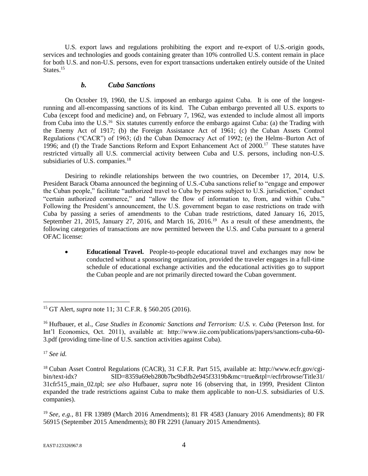U.S. export laws and regulations prohibiting the export and re-export of U.S.-origin goods, services and technologies and goods containing greater than 10% controlled U.S. content remain in place for both U.S. and non-U.S. persons, even for export transactions undertaken entirely outside of the United States.<sup>15</sup>

### *b. Cuba Sanctions*

On October 19, 1960, the U.S. imposed an embargo against Cuba. It is one of the longestrunning and all-encompassing sanctions of its kind. The Cuban embargo prevented all U.S. exports to Cuba (except food and medicine) and, on February 7, 1962, was extended to include almost all imports from Cuba into the U.S.<sup>16</sup> Six statutes currently enforce the embargo against Cuba: (a) the Trading with the Enemy Act of 1917; (b) the Foreign Assistance Act of 1961; (c) the Cuban Assets Control Regulations ("CACR") of 1963; (d) the Cuban Democracy Act of 1992; (e) the Helms–Burton Act of 1996; and (f) the Trade Sanctions Reform and Export Enhancement Act of 2000.<sup>17</sup> These statutes have restricted virtually all U.S. commercial activity between Cuba and U.S. persons, including non-U.S. subsidiaries of U.S. companies.<sup>18</sup>

Desiring to rekindle relationships between the two countries, on December 17, 2014, U.S. President Barack Obama announced the beginning of U.S.-Cuba sanctions relief to "engage and empower the Cuban people," facilitate "authorized travel to Cuba by persons subject to U.S. jurisdiction," conduct "certain authorized commerce," and "allow the flow of information to, from, and within Cuba." Following the President's announcement, the U.S. government began to ease restrictions on trade with Cuba by passing a series of amendments to the Cuban trade restrictions, dated January 16, 2015, September 21, 2015, January 27, 2016, and March 16, 2016.<sup>19</sup> As a result of these amendments, the following categories of transactions are now permitted between the U.S. and Cuba pursuant to a general OFAC license:

 **Educational Travel.** People-to-people educational travel and exchanges may now be conducted without a sponsoring organization, provided the traveler engages in a full-time schedule of educational exchange activities and the educational activities go to support the Cuban people and are not primarily directed toward the Cuban government.

<sup>17</sup> *See id.*

<sup>15</sup> GT Alert, *supra* note 11; 31 C.F.R. § 560.205 (2016).

<sup>16</sup> Hufbauer, et al., *Case Studies in Economic Sanctions and Terrorism: U.S. v. Cuba* (Peterson Inst. for Int'l Economics, Oct. 2011), available at: http://www.iie.com/publications/papers/sanctions-cuba-60- 3.pdf (providing time-line of U.S. sanction activities against Cuba).

<sup>18</sup> Cuban Asset Control Regulations (CACR), 31 C.F.R. Part 515, available at: http://www.ecfr.gov/cgibin/text-idx? SID=8359a69eb280b7bc9bdfb2e945f3319b&mc=true&tpl=/ecfrbrowse/Title31/ 31cfr515\_main\_02.tpl; *see also* Hufbauer, *supra* note 16 (observing that, in 1999, President Clinton expanded the trade restrictions against Cuba to make them applicable to non-U.S. subsidiaries of U.S. companies).

<sup>19</sup> *See, e.g.*, 81 FR 13989 (March 2016 Amendments); 81 FR 4583 (January 2016 Amendments); 80 FR 56915 (September 2015 Amendments); 80 FR 2291 (January 2015 Amendments).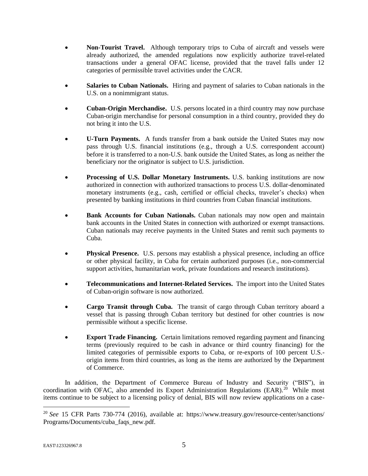- **Non-Tourist Travel.** Although temporary trips to Cuba of aircraft and vessels were already authorized, the amended regulations now explicitly authorize travel-related transactions under a general OFAC license, provided that the travel falls under 12 categories of permissible travel activities under the CACR.
- **Salaries to Cuban Nationals.** Hiring and payment of salaries to Cuban nationals in the U.S. on a nonimmigrant status.
- **Cuban-Origin Merchandise.** U.S. persons located in a third country may now purchase Cuban-origin merchandise for personal consumption in a third country, provided they do not bring it into the U.S.
- **U-Turn Payments.** A funds transfer from a bank outside the United States may now pass through U.S. financial institutions (e.g., through a U.S. correspondent account) before it is transferred to a non-U.S. bank outside the United States, as long as neither the beneficiary nor the originator is subject to U.S. jurisdiction.
- **Processing of U.S. Dollar Monetary Instruments.** U.S. banking institutions are now authorized in connection with authorized transactions to process U.S. dollar-denominated monetary instruments (e.g., cash, certified or official checks, traveler's checks) when presented by banking institutions in third countries from Cuban financial institutions.
- **Bank Accounts for Cuban Nationals.** Cuban nationals may now open and maintain bank accounts in the United States in connection with authorized or exempt transactions. Cuban nationals may receive payments in the United States and remit such payments to Cuba.
- **Physical Presence.** U.S. persons may establish a physical presence, including an office or other physical facility, in Cuba for certain authorized purposes (i.e., non-commercial support activities, humanitarian work, private foundations and research institutions).
- **Telecommunications and Internet-Related Services.** The import into the United States of Cuban-origin software is now authorized.
- **Cargo Transit through Cuba.** The transit of cargo through Cuban territory aboard a vessel that is passing through Cuban territory but destined for other countries is now permissible without a specific license.
- **Export Trade Financing.** Certain limitations removed regarding payment and financing terms (previously required to be cash in advance or third country financing) for the limited categories of permissible exports to Cuba, or re-exports of 100 percent U.S. origin items from third countries, as long as the items are authorized by the Department of Commerce.

In addition, the Department of Commerce Bureau of Industry and Security ("BIS"), in coordination with OFAC, also amended its Export Administration Regulations (EAR).<sup>20</sup> While most items continue to be subject to a licensing policy of denial, BIS will now review applications on a case-

<sup>20</sup> *See* 15 CFR Parts 730-774 (2016), available at: https://www.treasury.gov/resource-center/sanctions/ Programs/Documents/cuba\_faqs\_new.pdf*.*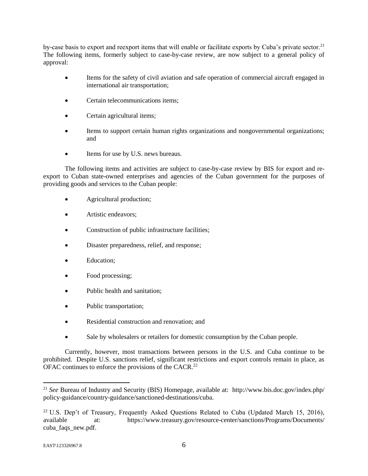by-case basis to export and reexport items that will enable or facilitate exports by Cuba's private sector.<sup>21</sup> The following items, formerly subject to case-by-case review, are now subject to a general policy of approval:

- Items for the safety of civil aviation and safe operation of commercial aircraft engaged in international air transportation;
- Certain telecommunications items;
- Certain agricultural items;
- Items to support certain human rights organizations and nongovernmental organizations; and
- Items for use by U.S. news bureaus.

The following items and activities are subject to case-by-case review by BIS for export and reexport to Cuban state-owned enterprises and agencies of the Cuban government for the purposes of providing goods and services to the Cuban people:

- Agricultural production;
- Artistic endeavors;
- Construction of public infrastructure facilities;
- Disaster preparedness, relief, and response;
- Education;
- Food processing;
- Public health and sanitation;
- Public transportation;
- Residential construction and renovation: and
- Sale by wholesalers or retailers for domestic consumption by the Cuban people.

Currently, however, most transactions between persons in the U.S. and Cuba continue to be prohibited. Despite U.S. sanctions relief, significant restrictions and export controls remain in place, as OFAC continues to enforce the provisions of the CACR.<sup>22</sup>

<sup>21</sup> *See* Bureau of Industry and Security (BIS) Homepage, available at: http://www.bis.doc.gov/index.php/ policy-guidance/country-guidance/sanctioned-destinations/cuba.

<sup>&</sup>lt;sup>22</sup> U.S. Dep't of Treasury, Frequently Asked Questions Related to Cuba (Updated March 15, 2016), available at: https://www.treasury.gov/resource-center/sanctions/Programs/Documents/ cuba\_faqs\_new.pdf.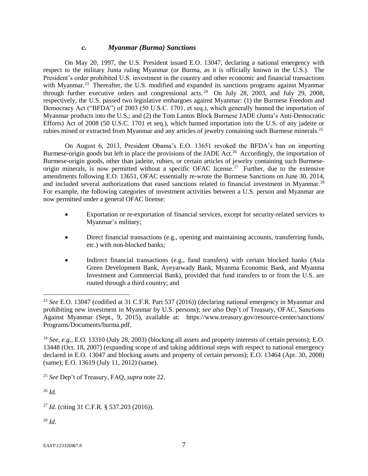### *c. Myanmar (Burma) Sanctions*

On May 20, 1997, the U.S. President issued E.O. 13047, declaring a national emergency with respect to the military Junta ruling Myanmar (or Burma, as it is officially known in the U.S.). The President's order prohibited U.S. investment in the country and other economic and financial transactions with Myanmar.<sup>23</sup> Thereafter, the U.S. modified and expanded its sanctions programs against Myanmar through further executive orders and congressional acts.<sup>24</sup> On July 28, 2003, and July 29, 2008, respectively, the U.S. passed two legislative embargoes against Myanmar: (1) the Burmese Freedom and Democracy Act ("BFDA") of 2003 (50 U.S.C. 1701, et seq.), which generally banned the importation of Myanmar products into the U.S.; and (2) the Tom Lantos Block Burmese JADE (Junta's Anti-Democratic Efforts) Act of 2008 (50 U.S.C. 1701 et seq.), which banned importation into the U.S. of any jadeite or rubies mined or extracted from Myanmar and any articles of jewelry containing such Burmese minerals.<sup>25</sup>

On August 6, 2013, President Obama's E.O. 13651 revoked the BFDA's ban on importing Burmese-origin goods but left in place the provisions of the JADE Act.<sup>26</sup> Accordingly, the importation of Burmese-origin goods, other than jadeite, rubies, or certain articles of jewelry containing such Burmeseorigin minerals, is now permitted without a specific OFAC license.<sup>27</sup> Further, due to the extensive amendments following E.O. 13651, OFAC essentially re-wrote the Burmese Sanctions on June 30, 2014, and included several authorizations that eased sanctions related to financial investment in Myanmar.<sup>28</sup> For example, the following categories of investment activities between a U.S. person and Myanmar are now permitted under a general OFAC license:

- Exportation or re-exportation of financial services, except for security-related services to Myanmar's military;
- Direct financial transactions (e.g., opening and maintaining accounts, transferring funds, etc.) with non-blocked banks;
- Indirect financial transactions (e.g., fund transfers) with certain blocked banks (Asia Green Development Bank, Ayeyarwady Bank, Myanma Economic Bank, and Myanma Investment and Commercial Bank), provided that fund transfers to or from the U.S. are routed through a third country; and

<sup>25</sup> *See* Dep't of Treasury, FAQ, *supra* note 22.

<sup>26</sup> *Id.*

 $\overline{a}$ 

<sup>27</sup> *Id.* (citing 31 C.F.R. § 537.203 (2016)).

<sup>28</sup> *Id.*

<sup>23</sup> *See* E.O. 13047 (codified at 31 C.F.R. Part 537 (2016)) (declaring national emergency in Myanmar and prohibiting new investment in Myanmar by U.S. persons); *see also* Dep't of Treasury, OFAC, Sanctions Against Myanmar (Sept., 9, 2015), available at: https://www.treasury.gov/resource-center/sanctions/ Programs/Documents/burma.pdf.

<sup>24</sup> *See, e.g.*, E.O. 13310 (July 28, 2003) (blocking all assets and property interests of certain persons); E.O. 13448 (Oct. 18, 2007) (expanding scope of and taking additional steps with respect to national emergency declared in E.O. 13047 and blocking assets and property of certain persons); E.O. 13464 (Apr. 30, 2008) (same); E.O. 13619 (July 11, 2012) (same).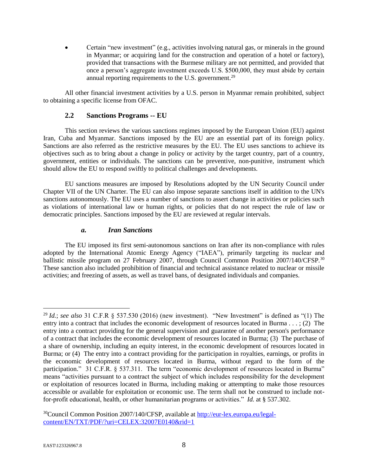Certain "new investment" (e.g., activities involving natural gas, or minerals in the ground in Myanmar; or acquiring land for the construction and operation of a hotel or factory), provided that transactions with the Burmese military are not permitted, and provided that once a person's aggregate investment exceeds U.S. \$500,000, they must abide by certain annual reporting requirements to the U.S. government.<sup>29</sup>

All other financial investment activities by a U.S. person in Myanmar remain prohibited, subject to obtaining a specific license from OFAC.

### **2.2 Sanctions Programs -- EU**

This section reviews the various sanctions regimes imposed by the European Union (EU) against Iran, Cuba and Myanmar. Sanctions imposed by the EU are an essential part of its foreign policy. Sanctions are also referred as the restrictive measures by the EU. The EU uses sanctions to achieve its objectives such as to bring about a change in policy or activity by the target country, part of a country, government, entities or individuals. The sanctions can be preventive, non-punitive, instrument which should allow the EU to respond swiftly to political challenges and developments.

EU sanctions measures are imposed by Resolutions adopted by the UN Security Council under Chapter VII of the UN Charter. The EU can also impose separate sanctions itself in addition to the UN's sanctions autonomously. The EU uses a number of sanctions to assert change in activities or policies such as violations of international law or human rights, or policies that do not respect the rule of law or democratic principles. Sanctions imposed by the EU are reviewed at regular intervals.

### *a. Iran Sanctions*

The EU imposed its first semi-autonomous sanctions on Iran after its non-compliance with rules adopted by the International Atomic Energy Agency ("IAEA"), primarily targeting its nuclear and ballistic missile program on 27 February 2007, through Council Common Position 2007/140/CFSP.<sup>30</sup> These sanction also included prohibition of financial and technical assistance related to nuclear or missile activities; and freezing of assets, as well as travel bans, of designated individuals and companies.

<sup>&</sup>lt;sup>29</sup> *Id.*; *see also* 31 C.F.R  $\frac{8}{37.530}$  (2016) (new investment). "New Investment" is defined as "(1) The entry into a contract that includes the economic development of resources located in Burma . . . ; (2) The entry into a contract providing for the general supervision and guarantee of another person's performance of a contract that includes the economic development of resources located in Burma; (3) The purchase of a share of ownership, including an equity interest, in the economic development of resources located in Burma; or (4) The entry into a contract providing for the participation in royalties, earnings, or profits in the economic development of resources located in Burma, without regard to the form of the participation." 31 C.F.R. § 537.311. The term "economic development of resources located in Burma" means "activities pursuant to a contract the subject of which includes responsibility for the development or exploitation of resources located in Burma, including making or attempting to make those resources accessible or available for exploitation or economic use. The term shall not be construed to include notfor-profit educational, health, or other humanitarian programs or activities." *Id.* at § 537.302.

<sup>30</sup>Council Common Position 2007/140/CFSP, available at [http://eur-lex.europa.eu/legal](http://eur-lex.europa.eu/legal-content/EN/TXT/PDF/?uri=CELEX:32007E0140&rid=1)[content/EN/TXT/PDF/?uri=CELEX:32007E0140&rid=1](http://eur-lex.europa.eu/legal-content/EN/TXT/PDF/?uri=CELEX:32007E0140&rid=1)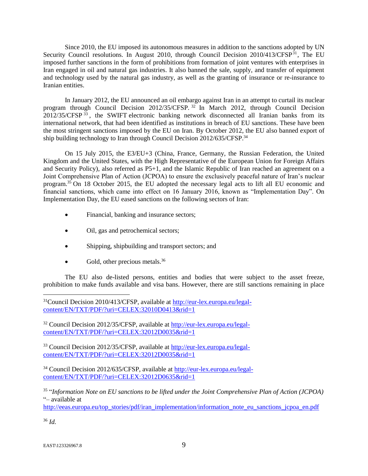Since 2010, the EU imposed its autonomous measures in addition to the sanctions adopted by UN Security Council resolutions. In August 2010, through Council Decision  $2010/413/\text{CFSP}^{31}$ , The EU imposed further sanctions in the form of prohibitions from formation of joint ventures with enterprises in Iran engaged in oil and natural gas industries. It also banned the sale, supply, and transfer of equipment and technology used by the natural gas industry, as well as the granting of insurance or re-insurance to Iranian entities.

In January 2012, the EU announced an oil embargo against Iran in an attempt to curtail its nuclear program through Council Decision 2012/35/CFSP.<sup>32</sup> In March 2012, through Council Decision 2012/35/CFSP<sup>33</sup>, the SWIFT electronic banking network disconnected all Iranian banks from its international network, that had been identified as institutions in breach of EU sanctions. These have been the most stringent sanctions imposed by the EU on Iran. By October 2012, the EU also banned export of ship building technology to Iran through Council Decision 2012/635/CFSP.<sup>34</sup>

On 15 July 2015, the E3/EU+3 (China, France, Germany, the Russian Federation, the United Kingdom and the United States, with the High Representative of the European Union for Foreign Affairs and Security Policy), also referred as P5+1, and the Islamic Republic of Iran reached an agreement on a Joint Comprehensive Plan of Action (JCPOA) to ensure the exclusively peaceful nature of Iran's nuclear program.<sup>35</sup> On 18 October 2015, the EU adopted the necessary legal acts to lift all EU economic and financial sanctions, which came into effect on 16 January 2016, known as "Implementation Day". On Implementation Day, the EU eased sanctions on the following sectors of Iran:

- Financial, banking and insurance sectors;
- Oil, gas and petrochemical sectors;
- Shipping, shipbuilding and transport sectors; and
- $\bullet$  Gold, other precious metals.<sup>36</sup>

The EU also de-listed persons, entities and bodies that were subject to the asset freeze, prohibition to make funds available and visa bans. However, there are still sanctions remaining in place

<sup>32</sup> Council Decision 2012/35/CFSP, available at [http://eur-lex.europa.eu/legal](http://eur-lex.europa.eu/legal-content/EN/TXT/PDF/?uri=CELEX:32012D0035&rid=1)[content/EN/TXT/PDF/?uri=CELEX:32012D0035&rid=1](http://eur-lex.europa.eu/legal-content/EN/TXT/PDF/?uri=CELEX:32012D0035&rid=1)

<sup>33</sup> Council Decision 2012/35/CFSP, available at [http://eur-lex.europa.eu/legal](http://eur-lex.europa.eu/legal-content/EN/TXT/PDF/?uri=CELEX:32012D0035&rid=1)[content/EN/TXT/PDF/?uri=CELEX:32012D0035&rid=1](http://eur-lex.europa.eu/legal-content/EN/TXT/PDF/?uri=CELEX:32012D0035&rid=1)

<sup>34</sup> Council Decision 2012/635/CFSP, available at [http://eur-lex.europa.eu/legal](http://eur-lex.europa.eu/legal-content/EN/TXT/PDF/?uri=CELEX:32012D0635&rid=1)[content/EN/TXT/PDF/?uri=CELEX:32012D0635&rid=1](http://eur-lex.europa.eu/legal-content/EN/TXT/PDF/?uri=CELEX:32012D0635&rid=1)

35 "*Information Note on EU sanctions to be lifted under the Joint Comprehensive Plan of Action (JCPOA)*  "– available at

[http://eeas.europa.eu/top\\_stories/pdf/iran\\_implementation/information\\_note\\_eu\\_sanctions\\_jcpoa\\_en.pdf](http://eeas.europa.eu/top_stories/pdf/iran_implementation/information_note_eu_sanctions_jcpoa_en.pdf)

<sup>36</sup> *Id.*

<sup>&</sup>lt;sup>31</sup>Council Decision 2010/413/CFSP, available at [http://eur-lex.europa.eu/legal](http://eur-lex.europa.eu/legal-content/EN/TXT/PDF/?uri=CELEX:32010D0413&rid=1)[content/EN/TXT/PDF/?uri=CELEX:32010D0413&rid=1](http://eur-lex.europa.eu/legal-content/EN/TXT/PDF/?uri=CELEX:32010D0413&rid=1)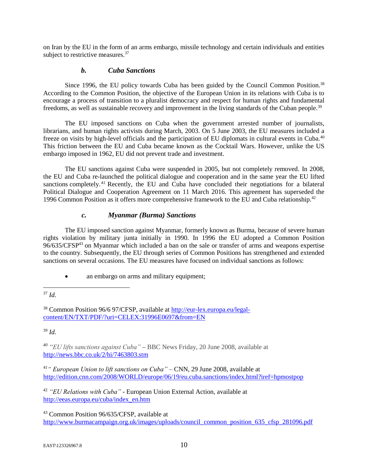on Iran by the EU in the form of an arms embargo, missile technology and certain individuals and entities subject to restrictive measures.<sup>37</sup>

### *b. Cuba Sanctions*

Since 1996, the EU policy towards Cuba has been guided by the Council Common Position.<sup>38</sup> According to the Common Position, the objective of the European Union in its relations with Cuba is to encourage a process of transition to a pluralist democracy and respect for human rights and fundamental freedoms, as well as sustainable recovery and improvement in the living standards of the Cuban people.<sup>39</sup>

The EU imposed sanctions on Cuba when the government arrested number of journalists, librarians, and human rights activists during March, 2003. On 5 June 2003, the EU measures included a freeze on visits by high-level officials and the participation of EU diplomats in cultural events in Cuba.<sup>40</sup> This friction between the EU and Cuba became known as the Cocktail Wars. However, unlike the US embargo imposed in 1962, EU did not prevent trade and investment.

The EU sanctions against Cuba were suspended in 2005, but not completely removed. In 2008, the EU and Cuba re-launched the political dialogue and cooperation and in the same year the EU lifted sanctions completely.<sup>41</sup> Recently, the EU and Cuba have concluded their negotiations for a bilateral Political Dialogue and Cooperation Agreement on 11 March 2016. This agreement has superseded the 1996 Common Position as it offers more comprehensive framework to the EU and Cuba relationship.<sup>42</sup>

# *c. Myanmar (Burma) Sanctions*

The EU imposed sanction against Myanmar, formerly known as Burma, because of severe human rights violation by military junta initially in 1990. In 1996 the EU adopted a Common Position 96/635/CFSP<sup>43</sup> on Myanmar which included a ban on the sale or transfer of arms and weapons expertise to the country. Subsequently, the EU through series of Common Positions has strengthened and extended sanctions on several occasions. The EU measures have focused on individual sanctions as follows:

#### $\overline{a}$ <sup>37</sup> *Id.*

<sup>38</sup> Common Position 96/6 97/CFSP, available at [http://eur-lex.europa.eu/legal](http://eur-lex.europa.eu/legal-content/EN/TXT/PDF/?uri=CELEX:31996E0697&from=EN)[content/EN/TXT/PDF/?uri=CELEX:31996E0697&from=EN](http://eur-lex.europa.eu/legal-content/EN/TXT/PDF/?uri=CELEX:31996E0697&from=EN)

<sup>39</sup> *Id.*

*<sup>40</sup> "EU lifts sanctions against Cuba"* **–** BBC News Friday, 20 June 2008, available at <http://news.bbc.co.uk/2/hi/7463803.stm>

*<sup>41</sup>" European Union to lift sanctions on Cuba"* – CNN, 29 June 2008, available at <http://edition.cnn.com/2008/WORLD/europe/06/19/eu.cuba.sanctions/index.html?iref=hpmostpop>

<sup>42</sup> *"EU Relations with Cuba"* - European Union External Action, available at [http://eeas.europa.eu/cuba/index\\_en.htm](http://eeas.europa.eu/cuba/index_en.htm)

<sup>43</sup> Common Position 96/635/CFSP, available at [http://www.burmacampaign.org.uk/images/uploads/council\\_common\\_position\\_635\\_cfsp\\_281096.pdf](http://www.burmacampaign.org.uk/images/uploads/council_common_position_635_cfsp_281096.pdf)

<sup>•</sup> an embargo on arms and military equipment;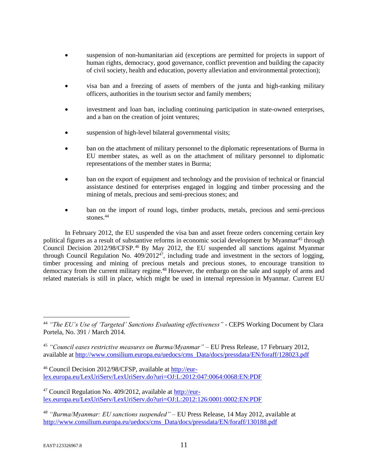- suspension of non-humanitarian aid (exceptions are permitted for projects in support of human rights, democracy, good governance, conflict prevention and building the capacity of civil society, health and education, poverty alleviation and environmental protection);
- visa ban and a freezing of assets of members of the junta and high-ranking military officers, authorities in the tourism sector and family members;
- investment and loan ban, including continuing participation in state-owned enterprises, and a ban on the creation of joint ventures;
- suspension of high-level bilateral governmental visits;
- ban on the attachment of military personnel to the diplomatic representations of Burma in EU member states, as well as on the attachment of military personnel to diplomatic representations of the member states in Burma;
- ban on the export of equipment and technology and the provision of technical or financial assistance destined for enterprises engaged in logging and timber processing and the mining of metals, precious and semi-precious stones; and
- ban on the import of round logs, timber products, metals, precious and semi-precious stones.<sup>44</sup>

In February 2012, the EU suspended the visa ban and asset freeze orders concerning certain key political figures as a result of substantive reforms in economic social development by Myanmar<sup>45</sup> through Council Decision 2012/98/CFSP.<sup>46</sup> By May 2012, the EU suspended all sanctions against Myanmar through Council Regulation No.  $409/2012^{47}$ , including trade and investment in the sectors of logging, timber processing and mining of precious metals and precious stones, to encourage transition to democracy from the current military regime.<sup>48</sup> However, the embargo on the sale and supply of arms and related materials is still in place, which might be used in internal repression in Myanmar. Current EU

<sup>46</sup> Council Decision 2012/98/CFSP, available at [http://eur](http://eur-lex.europa.eu/LexUriServ/LexUriServ.do?uri=OJ:L:2012:047:0064:0068:EN:PDF)[lex.europa.eu/LexUriServ/LexUriServ.do?uri=OJ:L:2012:047:0064:0068:EN:PDF](http://eur-lex.europa.eu/LexUriServ/LexUriServ.do?uri=OJ:L:2012:047:0064:0068:EN:PDF)

 $47$  Council Regulation No. 409/2012, available at [http://eur](http://eur-lex.europa.eu/LexUriServ/LexUriServ.do?uri=OJ:L:2012:126:0001:0002:EN:PDF)[lex.europa.eu/LexUriServ/LexUriServ.do?uri=OJ:L:2012:126:0001:0002:EN:PDF](http://eur-lex.europa.eu/LexUriServ/LexUriServ.do?uri=OJ:L:2012:126:0001:0002:EN:PDF)

*<sup>48</sup> "Burma/Myanmar: EU sanctions suspended"* – EU Press Release, 14 May 2012, available at [http://www.consilium.europa.eu/uedocs/cms\\_Data/docs/pressdata/EN/foraff/130188.pdf](http://www.consilium.europa.eu/uedocs/cms_Data/docs/pressdata/EN/foraff/130188.pdf)

<sup>44</sup> *"The EU's Use of 'Targeted' Sanctions Evaluating effectiveness"* - CEPS Working Document by Clara Portela, No. 391 / March 2014.

<sup>45</sup> *"Council eases restrictive measures on Burma/Myanmar"* – EU Press Release, 17 February 2012, available at [http://www.consilium.europa.eu/uedocs/cms\\_Data/docs/pressdata/EN/foraff/128023.pdf](http://www.consilium.europa.eu/uedocs/cms_Data/docs/pressdata/EN/foraff/128023.pdf)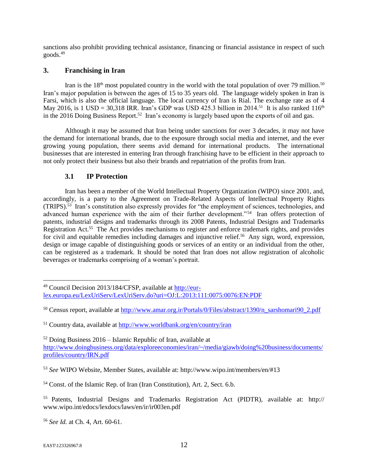sanctions also prohibit providing technical assistance, financing or financial assistance in respect of such goods.<sup>49</sup>

# **3. Franchising in Iran**

Iran is the  $18<sup>th</sup>$  most populated country in the world with the total population of over 79 million.<sup>50</sup> Iran's major population is between the ages of 15 to 35 years old. The language widely spoken in Iran is Farsi, which is also the official language. The local currency of Iran is Rial. The exchange rate as of 4 May 2016, is 1 USD = 30,318 IRR. Iran's GDP was USD 425.3 billion in 2014.<sup>51</sup> It is also ranked 116<sup>th</sup> in the 2016 Doing Business Report.<sup>52</sup> Iran's economy is largely based upon the exports of oil and gas.

Although it may be assumed that Iran being under sanctions for over 3 decades, it may not have the demand for international brands, due to the exposure through social media and internet, and the ever growing young population, there seems avid demand for international products. The international businesses that are interested in entering Iran through franchising have to be efficient in their approach to not only protect their business but also their brands and repatriation of the profits from Iran.

## **3.1 IP Protection**

Iran has been a member of the World Intellectual Property Organization (WIPO) since 2001, and, accordingly, is a party to the Agreement on Trade-Related Aspects of Intellectual Property Rights (TRIPS).<sup>53</sup> Iran's constitution also expressly provides for "the employment of sciences, technologies, and advanced human experience with the aim of their further development."<sup>54</sup> Iran offers protection of patents, industrial designs and trademarks through its 2008 Patents, Industrial Designs and Trademarks Registration Act.<sup>55</sup> The Act provides mechanisms to register and enforce trademark rights, and provides for civil and equitable remedies including damages and injunctive relief.<sup>56</sup> Any sign, word, expression, design or image capable of distinguishing goods or services of an entity or an individual from the other, can be registered as a trademark. It should be noted that Iran does not allow registration of alcoholic beverages or trademarks comprising of a woman's portrait.

<sup>52</sup> Doing Business 2016 – Islamic Republic of Iran, available at [http://www.doingbusiness.org/data/exploreeconomies/iran/~/media/giawb/doing%20business/documents/](http://www.doingbusiness.org/data/exploreeconomies/iran/~/media/giawb/doing%20business/documents/profiles/country/IRN.pdf) [profiles/country/IRN.pdf](http://www.doingbusiness.org/data/exploreeconomies/iran/~/media/giawb/doing%20business/documents/profiles/country/IRN.pdf)

<sup>53</sup> *See* WIPO Website, Member States, available at: http://www.wipo.int/members/en/#13

<sup>56</sup> *See Id.* at Ch. 4, Art. 60-61.

<sup>49</sup> Council Decision 2013/184/CFSP, available at [http://eur](http://eur-lex.europa.eu/LexUriServ/LexUriServ.do?uri=OJ:L:2013:111:0075:0076:EN:PDF)[lex.europa.eu/LexUriServ/LexUriServ.do?uri=OJ:L:2013:111:0075:0076:EN:PDF](http://eur-lex.europa.eu/LexUriServ/LexUriServ.do?uri=OJ:L:2013:111:0075:0076:EN:PDF)

<sup>50</sup> Census report, available at [http://www.amar.org.ir/Portals/0/Files/abstract/1390/n\\_sarshomari90\\_2.pdf](http://www.amar.org.ir/Portals/0/Files/abstract/1390/n_sarshomari90_2.pdf)

<sup>51</sup> Country data, available at<http://www.worldbank.org/en/country/iran>

<sup>54</sup> Const. of the Islamic Rep. of Iran (Iran Constitution), Art. 2, Sect. 6.b.

<sup>55</sup> Patents, Industrial Designs and Trademarks Registration Act (PIDTR), available at: http:// www.wipo.int/edocs/lexdocs/laws/en/ir/ir003en.pdf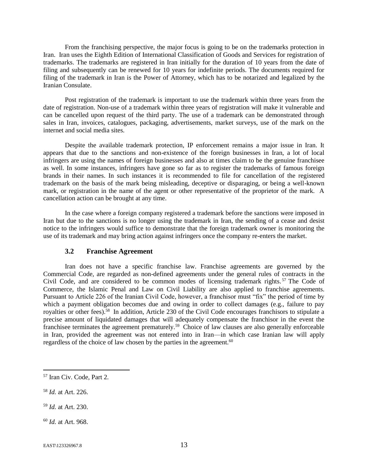From the franchising perspective, the major focus is going to be on the trademarks protection in Iran. Iran uses the Eighth Edition of International Classification of Goods and Services for registration of trademarks. The trademarks are registered in Iran initially for the duration of 10 years from the date of filing and subsequently can be renewed for 10 years for indefinite periods. The documents required for filing of the trademark in Iran is the Power of Attorney, which has to be notarized and legalized by the Iranian Consulate.

Post registration of the trademark is important to use the trademark within three years from the date of registration. Non-use of a trademark within three years of registration will make it vulnerable and can be cancelled upon request of the third party. The use of a trademark can be demonstrated through sales in Iran, invoices, catalogues, packaging, advertisements, market surveys, use of the mark on the internet and social media sites.

Despite the available trademark protection, IP enforcement remains a major issue in Iran. It appears that due to the sanctions and non-existence of the foreign businesses in Iran, a lot of local infringers are using the names of foreign businesses and also at times claim to be the genuine franchisee as well. In some instances, infringers have gone so far as to register the trademarks of famous foreign brands in their names. In such instances it is recommended to file for cancellation of the registered trademark on the basis of the mark being misleading, deceptive or disparaging, or being a well-known mark, or registration in the name of the agent or other representative of the proprietor of the mark. A cancellation action can be brought at any time.

In the case where a foreign company registered a trademark before the sanctions were imposed in Iran but due to the sanctions is no longer using the trademark in Iran, the sending of a cease and desist notice to the infringers would suffice to demonstrate that the foreign trademark owner is monitoring the use of its trademark and may bring action against infringers once the company re-enters the market.

## **3.2 Franchise Agreement**

Iran does not have a specific franchise law. Franchise agreements are governed by the Commercial Code, are regarded as non-defined agreements under the general rules of contracts in the Civil Code, and are considered to be common modes of licensing trademark rights. <sup>57</sup> The Code of Commerce, the Islamic Penal and Law on Civil Liability are also applied to franchise agreements. Pursuant to Article 226 of the Iranian Civil Code, however, a franchisor must "fix" the period of time by which a payment obligation becomes due and owing in order to collect damages (e.g., failure to pay royalties or other fees).<sup>58</sup> In addition, Article 230 of the Civil Code encourages franchisors to stipulate a precise amount of liquidated damages that will adequately compensate the franchisor in the event the franchisee terminates the agreement prematurely.<sup>59</sup> Choice of law clauses are also generally enforceable in Iran, provided the agreement was not entered into in Iran—in which case Iranian law will apply regardless of the choice of law chosen by the parties in the agreement.<sup>60</sup>

<sup>58</sup> *Id.* at Art. 226.

 $\overline{a}$ 

<sup>59</sup> *Id.* at Art. 230.

<sup>60</sup> *Id.* at Art. 968.

<sup>57</sup> Iran Civ. Code, Part 2.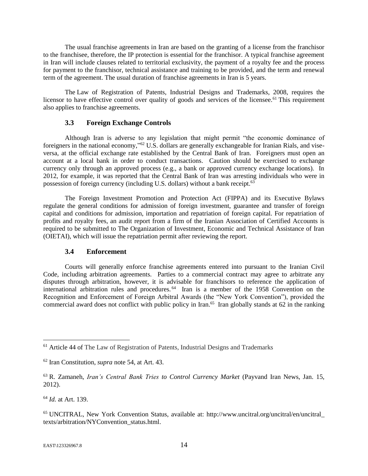The usual franchise agreements in Iran are based on the granting of a license from the franchisor to the franchisee, therefore, the IP protection is essential for the franchisor. A typical franchise agreement in Iran will include clauses related to territorial exclusivity, the payment of a royalty fee and the process for payment to the franchisor, technical assistance and training to be provided, and the term and renewal term of the agreement. The usual duration of franchise agreements in Iran is 5 years.

The Law of Registration of Patents, Industrial Designs and Trademarks, 2008, requires the licensor to have effective control over quality of goods and services of the licensee.<sup>61</sup> This requirement also applies to franchise agreements.

### **3.3 Foreign Exchange Controls**

Although Iran is adverse to any legislation that might permit "the economic dominance of foreigners in the national economy,"<sup>62</sup> U.S. dollars are generally exchangeable for Iranian Rials, and viseversa, at the official exchange rate established by the Central Bank of Iran. Foreigners must open an account at a local bank in order to conduct transactions. Caution should be exercised to exchange currency only through an approved process (e.g., a bank or approved currency exchange locations). In 2012, for example, it was reported that the Central Bank of Iran was arresting individuals who were in possession of foreign currency (including U.S. dollars) without a bank receipt.<sup>63</sup>

The Foreign Investment Promotion and Protection Act (FIPPA) and its Executive Bylaws regulate the general conditions for admission of foreign investment, guarantee and transfer of foreign capital and conditions for admission, importation and repatriation of foreign capital. For repatriation of profits and royalty fees, an audit report from a firm of the Iranian Association of Certified Accounts is required to be submitted to The Organization of Investment, Economic and Technical Assistance of Iran (OIETAI), which will issue the repatriation permit after reviewing the report.

### **3.4 Enforcement**

Courts will generally enforce franchise agreements entered into pursuant to the Iranian Civil Code, including arbitration agreements. Parties to a commercial contract may agree to arbitrate any disputes through arbitration, however, it is advisable for franchisors to reference the application of international arbitration rules and procedures.<sup>64</sup> Iran is a member of the 1958 Convention on the Recognition and Enforcement of Foreign Arbitral Awards (the "New York Convention"), provided the commercial award does not conflict with public policy in Iran.<sup>65</sup> Iran globally stands at 62 in the ranking

 $\overline{a}$ <sup>61</sup> Article 44 of The Law of Registration of Patents, Industrial Designs and Trademarks

<sup>62</sup> Iran Constitution, *supra* note 54, at Art. 43.

<sup>63</sup> R. Zamaneh, *Iran's Central Bank Tries to Control Currency Market* (Payvand Iran News, Jan. 15, 2012).

<sup>64</sup> *Id.* at Art. 139.

<sup>65</sup> UNCITRAL, New York Convention Status, available at: http://www.uncitral.org/uncitral/en/uncitral\_ texts/arbitration/NYConvention\_status.html.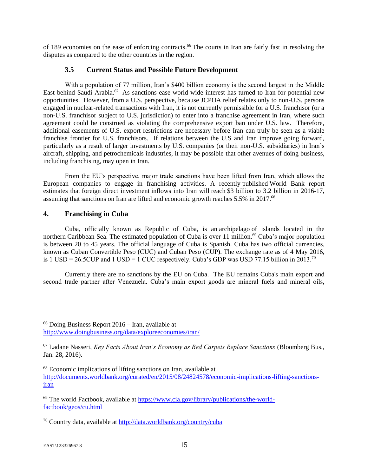of 189 economies on the ease of enforcing contracts.<sup>66</sup> The courts in Iran are fairly fast in resolving the disputes as compared to the other countries in the region.

# **3.5 Current Status and Possible Future Development**

With a population of 77 million, Iran's \$400 billion economy is the second largest in the Middle East behind Saudi Arabia.<sup>67</sup> As sanctions ease world-wide interest has turned to Iran for potential new opportunities. However, from a U.S. perspective, because JCPOA relief relates only to non-U.S. persons engaged in nuclear-related transactions with Iran, it is not currently permissible for a U.S. franchisor (or a non-U.S. franchisor subject to U.S. jurisdiction) to enter into a franchise agreement in Iran, where such agreement could be construed as violating the comprehensive export ban under U.S. law. Therefore, additional easements of U.S. export restrictions are necessary before Iran can truly be seen as a viable franchise frontier for U.S. franchisors. If relations between the U.S and Iran improve going forward, particularly as a result of larger investments by U.S. companies (or their non-U.S. subsidiaries) in Iran's aircraft, shipping, and petrochemicals industries, it may be possible that other avenues of doing business, including franchising, may open in Iran.

From the EU's perspective, major trade sanctions have been lifted from Iran, which allows the European companies to engage in franchising activities. A recently published World Bank report estimates that foreign direct investment inflows into Iran will reach \$3 billion to 3.2 billion in 2016-17, assuming that sanctions on Iran are lifted and economic growth reaches 5.5% in 2017.<sup>68</sup>

# **4. Franchising in Cuba**

Cuba, officially known as Republic of Cuba, is an archipelago of islands located in the northern Caribbean Sea. The estimated population of Cuba is over 11 million.<sup>69</sup> Cuba's major population is between 20 to 45 years. The official language of Cuba is Spanish. Cuba has two official currencies, known as Cuban Convertible Peso (CUC) and Cuban Peso (CUP). The exchange rate as of 4 May 2016, is 1 USD = 26.5CUP and 1 USD = 1 CUC respectively. Cuba's GDP was USD 77.15 billion in 2013.<sup>70</sup>

Currently there are no sanctions by the EU on Cuba. The EU remains Cuba's main export and second trade partner after Venezuela. Cuba's main export goods are mineral fuels and mineral oils,

<sup>66</sup> Doing Business Report 2016 – Iran, available at <http://www.doingbusiness.org/data/exploreeconomies/iran/>

<sup>67</sup> Ladane Nasseri, *Key Facts About Iran's Economy as Red Carpets Replace Sanctions* (Bloomberg Bus., Jan. 28, 2016).

<sup>68</sup> Economic implications of lifting sanctions on Iran, available at [http://documents.worldbank.org/curated/en/2015/08/24824578/economic-implications-lifting-sanctions](http://documents.worldbank.org/curated/en/2015/08/24824578/economic-implications-lifting-sanctions-iran)[iran](http://documents.worldbank.org/curated/en/2015/08/24824578/economic-implications-lifting-sanctions-iran)

<sup>69</sup> The world Factbook, available at [https://www.cia.gov/library/publications/the-world](https://www.cia.gov/library/publications/the-world-factbook/geos/cu.html)[factbook/geos/cu.html](https://www.cia.gov/library/publications/the-world-factbook/geos/cu.html)

<sup>70</sup> Country data, available at<http://data.worldbank.org/country/cuba>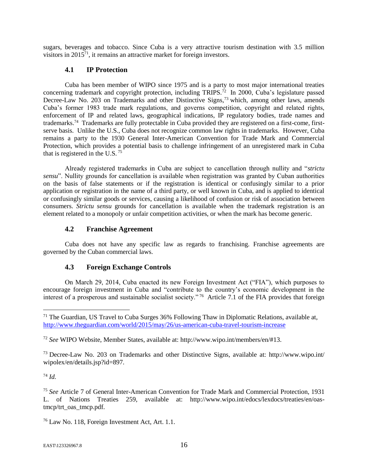sugars, beverages and tobacco. Since Cuba is a very attractive tourism destination with 3.5 million visitors in 2015<sup>71</sup>, it remains an attractive market for foreign investors.

### **4.1 IP Protection**

Cuba has been member of WIPO since 1975 and is a party to most major international treaties concerning trademark and copyright protection, including TRIPS.<sup>72</sup> In 2000, Cuba's legislature passed Decree-Law No. 203 on Trademarks and other Distinctive Signs,<sup>73</sup> which, among other laws, amends Cuba's former 1983 trade mark regulations, and governs competition, copyright and related rights, enforcement of IP and related laws, geographical indications, IP regulatory bodies, trade names and trademarks.<sup>74</sup> Trademarks are fully protectable in Cuba provided they are registered on a first-come, firstserve basis. Unlike the U.S., Cuba does not recognize common law rights in trademarks. However, Cuba remains a party to the 1930 General Inter-American Convention for Trade Mark and Commercial Protection, which provides a potential basis to challenge infringement of an unregistered mark in Cuba that is registered in the U.S.  $75$ 

Already registered trademarks in Cuba are subject to cancellation through nullity and "*strictu sensu*". Nullity grounds for cancellation is available when registration was granted by Cuban authorities on the basis of false statements or if the registration is identical or confusingly similar to a prior application or registration in the name of a third party, or well known in Cuba, and is applied to identical or confusingly similar goods or services, causing a likelihood of confusion or risk of association between consumers. *Strictu sensu* grounds for cancellation is available when the trademark registration is an element related to a monopoly or unfair competition activities, or when the mark has become generic.

### **4.2 Franchise Agreement**

Cuba does not have any specific law as regards to franchising. Franchise agreements are governed by the Cuban commercial laws.

## **4.3 Foreign Exchange Controls**

On March 29, 2014, Cuba enacted its new Foreign Investment Act ("FIA"), which purposes to encourage foreign investment in Cuba and "contribute to the country's economic development in the interest of a prosperous and sustainable socialist society."<sup>76</sup> Article 7.1 of the FIA provides that foreign

<sup>73</sup> Decree-Law No. 203 on Trademarks and other Distinctive Signs, available at: http://www.wipo.int/ wipolex/en/details.jsp?id=897.

<sup>74</sup> *Id.*

 $71$  The Guardian, US Travel to Cuba Surges 36% Following Thaw in Diplomatic Relations, available at, <http://www.theguardian.com/world/2015/may/26/us-american-cuba-travel-tourism-increase>

<sup>72</sup> *See* WIPO Website, Member States, available at: http://www.wipo.int/members/en/#13.

<sup>75</sup> *See* Article 7 of General Inter-American Convention for Trade Mark and Commercial Protection, 1931 L. of Nations Treaties 259, available at: http://www.wipo.int/edocs/lexdocs/treaties/en/oastmcp/trt\_oas\_tmcp.pdf.

<sup>76</sup> Law No. 118, Foreign Investment Act, Art. 1.1.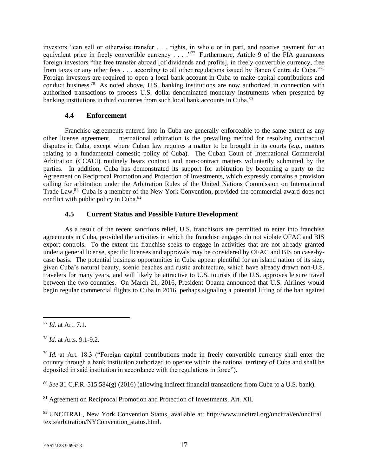investors "can sell or otherwise transfer . . . rights, in whole or in part, and receive payment for an equivalent price in freely convertible currency  $\ldots$   $\cdot$   $\cdot$  Furthermore, Article 9 of the FIA guarantees foreign investors "the free transfer abroad [of dividends and profits], in freely convertible currency, free from taxes or any other fees . . . according to all other regulations issued by Banco Centra de Cuba."<sup>78</sup> Foreign investors are required to open a local bank account in Cuba to make capital contributions and conduct business.<sup>79</sup> As noted above, U.S. banking institutions are now authorized in connection with authorized transactions to process U.S. dollar-denominated monetary instruments when presented by banking institutions in third countries from such local bank accounts in Cuba.<sup>80</sup>

# **4.4 Enforcement**

Franchise agreements entered into in Cuba are generally enforceable to the same extent as any other license agreement. International arbitration is the prevailing method for resolving contractual disputes in Cuba, except where Cuban law requires a matter to be brought in its courts (*e.g.*, matters relating to a fundamental domestic policy of Cuba). The Cuban Court of International Commercial Arbitration (CCACI) routinely hears contract and non-contract matters voluntarily submitted by the parties. In addition, Cuba has demonstrated its support for arbitration by becoming a party to the Agreement on Reciprocal Promotion and Protection of Investments, which expressly contains a provision calling for arbitration under the Arbitration Rules of the United Nations Commission on International Trade Law.<sup>81</sup> Cuba is a member of the New York Convention, provided the commercial award does not conflict with public policy in Cuba.<sup>82</sup>

# **4.5 Current Status and Possible Future Development**

As a result of the recent sanctions relief, U.S. franchisors are permitted to enter into franchise agreements in Cuba, provided the activities in which the franchise engages do not violate OFAC and BIS export controls. To the extent the franchise seeks to engage in activities that are not already granted under a general license, specific licenses and approvals may be considered by OFAC and BIS on case-bycase basis. The potential business opportunities in Cuba appear plentiful for an island nation of its size, given Cuba's natural beauty, scenic beaches and rustic architecture, which have already drawn non-U.S. travelers for many years, and will likely be attractive to U.S. tourists if the U.S. approves leisure travel between the two countries. On March 21, 2016, President Obama announced that U.S. Airlines would begin regular commercial flights to Cuba in 2016, perhaps signaling a potential lifting of the ban against

<sup>78</sup> *Id.* at Arts. 9.1-9.2.

<sup>80</sup> *See* 31 C.F.R. 515.584(g) (2016) (allowing indirect financial transactions from Cuba to a U.S. bank).

<sup>81</sup> Agreement on Reciprocal Promotion and Protection of Investments, Art. XII.

82 UNCITRAL, New York Convention Status, available at: http://www.uncitral.org/uncitral/en/uncitral\_ texts/arbitration/NYConvention\_status.html.

 $\overline{a}$ <sup>77</sup> *Id.* at Art. 7.1.

<sup>79</sup> *Id.* at Art. 18.3 ("Foreign capital contributions made in freely convertible currency shall enter the country through a bank institution authorized to operate within the national territory of Cuba and shall be deposited in said institution in accordance with the regulations in force").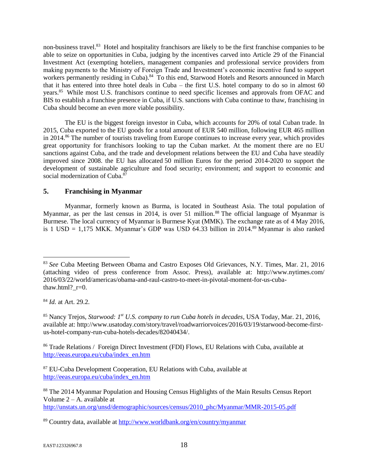non-business travel.<sup>83</sup> Hotel and hospitality franchisors are likely to be the first franchise companies to be able to seize on opportunities in Cuba, judging by the incentives carved into Article 29 of the Financial Investment Act (exempting hoteliers, management companies and professional service providers from making payments to the Ministry of Foreign Trade and Investment's economic incentive fund to support workers permanently residing in Cuba).<sup>84</sup> To this end, Starwood Hotels and Resorts announced in March that it has entered into three hotel deals in Cuba – the first U.S. hotel company to do so in almost 60 years.<sup>85</sup> While most U.S. franchisors continue to need specific licenses and approvals from OFAC and BIS to establish a franchise presence in Cuba, if U.S. sanctions with Cuba continue to thaw, franchising in Cuba should become an even more viable possibility.

The EU is the biggest foreign investor in Cuba, which accounts for 20% of total Cuban trade. In 2015, Cuba exported to the EU goods for a total amount of EUR 540 million, following EUR 465 million in 2014.<sup>86</sup> The number of tourists traveling from Europe continues to increase every year, which provides great opportunity for franchisors looking to tap the Cuban market. At the moment there are no EU sanctions against Cuba, and the trade and development relations between the EU and Cuba have steadily improved since 2008. the EU has allocated 50 million Euros for the period 2014-2020 to support the development of sustainable agriculture and food security; environment; and support to economic and social modernization of Cuba. $87$ 

## **5. Franchising in Myanmar**

Myanmar, formerly known as Burma, is located in Southeast Asia. The total population of Myanmar, as per the last census in 2014, is over 51 million.<sup>88</sup> The official language of Myanmar is Burmese. The local currency of Myanmar is Burmese Kyat (MMK). The exchange rate as of 4 May 2016, is 1 USD = 1,175 MKK. Myanmar's GDP was USD 64.33 billion in 2014.<sup>89</sup> Myanmar is also ranked

<sup>83</sup> *See* Cuba Meeting Between Obama and Castro Exposes Old Grievances, N.Y. Times, Mar. 21, 2016 (attaching video of press conference from Assoc. Press), available at: http://www.nytimes.com/ 2016/03/22/world/americas/obama-and-raul-castro-to-meet-in-pivotal-moment-for-us-cubathaw.html? $r=0$ .

<sup>84</sup> *Id.* at Art. 29.2.

<sup>85</sup> Nancy Trejos, *Starwood: 1st U.S. company to run Cuba hotels in decades*, USA Today, Mar. 21, 2016, available at: http://www.usatoday.com/story/travel/roadwarriorvoices/2016/03/19/starwood-become-firstus-hotel-company-run-cuba-hotels-decades/82040434/.

<sup>86</sup> Trade Relations / Foreign Direct Investment (FDI) Flows, EU Relations with Cuba, available at [http://eeas.europa.eu/cuba/index\\_en.htm](http://eeas.europa.eu/cuba/index_en.htm)

<sup>87</sup> EU-Cuba Development Cooperation, EU Relations with Cuba, available at [http://eeas.europa.eu/cuba/index\\_en.htm](http://eeas.europa.eu/cuba/index_en.htm)

<sup>&</sup>lt;sup>88</sup> The 2014 Myanmar Population and Housing Census Highlights of the Main Results Census Report Volume  $2 - A$ . available at

[http://unstats.un.org/unsd/demographic/sources/census/2010\\_phc/Myanmar/MMR-2015-05.pdf](http://unstats.un.org/unsd/demographic/sources/census/2010_phc/Myanmar/MMR-2015-05.pdf)

<sup>89</sup> Country data, available at<http://www.worldbank.org/en/country/myanmar>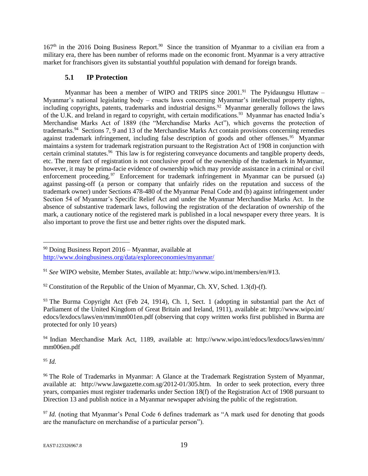167<sup>th</sup> in the 2016 Doing Business Report.<sup>90</sup> Since the transition of Myanmar to a civilian era from a military era, there has been number of reforms made on the economic front. Myanmar is a very attractive market for franchisors given its substantial youthful population with demand for foreign brands.

# **5.1 IP Protection**

Myanmar has been a member of WIPO and TRIPS since  $2001.^{91}$  The Pyidaungsu Hluttaw – Myanmar's national legislating body – enacts laws concerning Myanmar's intellectual property rights, including copyrights, patents, trademarks and industrial designs.<sup>92</sup> Myanmar generally follows the laws of the U.K. and Ireland in regard to copyright, with certain modifications.<sup>93</sup> Myanmar has enacted India's Merchandise Marks Act of 1889 (the "Merchandise Marks Act"), which governs the protection of trademarks.<sup>94</sup> Sections 7, 9 and 13 of the Merchandise Marks Act contain provisions concerning remedies against trademark infringement, including false description of goods and other offenses.<sup>95</sup> Myanmar maintains a system for trademark registration pursuant to the Registration Act of 1908 in conjunction with certain criminal statutes.<sup>96</sup> This law is for registering conveyance documents and tangible property deeds, etc. The mere fact of registration is not conclusive proof of the ownership of the trademark in Myanmar, however, it may be prima-facie evidence of ownership which may provide assistance in a criminal or civil enforcement proceeding.<sup>97</sup> Enforcement for trademark infringement in Myanmar can be pursued (a) against passing-off (a person or company that unfairly rides on the reputation and success of the trademark owner) under Sections 478-480 of the Myanmar Penal Code and (b) against infringement under Section 54 of Myanmar's Specific Relief Act and under the Myanmar Merchandise Marks Act. In the absence of substantive trademark laws, following the registration of the declaration of ownership of the mark, a cautionary notice of the registered mark is published in a local newspaper every three years. It is also important to prove the first use and better rights over the disputed mark.

 $93$  The Burma Copyright Act (Feb 24, 1914), Ch. 1, Sect. 1 (adopting in substantial part the Act of Parliament of the United Kingdom of Great Britain and Ireland, 1911), available at: http://www.wipo.int/ edocs/lexdocs/laws/en/mm/mm001en.pdf (observing that copy written works first published in Burma are protected for only 10 years)

<sup>94</sup> Indian Merchandise Mark Act, 1189, available at: http://www.wipo.int/edocs/lexdocs/laws/en/mm/ mm006en.pdf

<sup>95</sup> *Id.*

<sup>90</sup> Doing Business Report 2016 – Myanmar, available at <http://www.doingbusiness.org/data/exploreeconomies/myanmar/>

<sup>91</sup> *See* WIPO website, Member States, available at: http://www.wipo.int/members/en/#13.

 $92$  Constitution of the Republic of the Union of Myanmar, Ch. XV, Sched. 1.3(d)-(f).

<sup>&</sup>lt;sup>96</sup> The Role of Trademarks in Myanmar: A Glance at the Trademark Registration System of Myanmar, available at: http://www.lawgazette.com.sg/2012-01/305.htm. In order to seek protection, every three years, companies must register trademarks under Section 18(f) of the Registration Act of 1908 pursuant to Direction 13 and publish notice in a Myanmar newspaper advising the public of the registration.

<sup>&</sup>lt;sup>97</sup> *Id.* (noting that Myanmar's Penal Code 6 defines trademark as "A mark used for denoting that goods are the manufacture on merchandise of a particular person").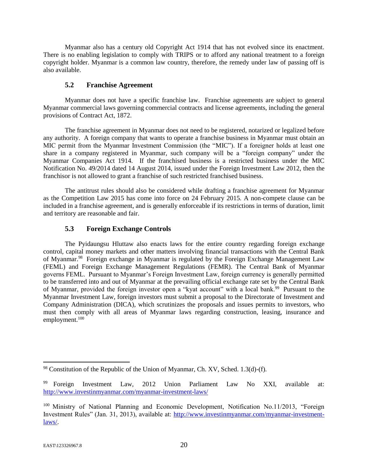Myanmar also has a century old Copyright Act 1914 that has not evolved since its enactment. There is no enabling legislation to comply with TRIPS or to afford any national treatment to a foreign copyright holder. Myanmar is a common law country, therefore, the remedy under law of passing off is also available.

### **5.2 Franchise Agreement**

Myanmar does not have a specific franchise law. Franchise agreements are subject to general Myanmar commercial laws governing commercial contracts and license agreements, including the general provisions of Contract Act, 1872.

The franchise agreement in Myanmar does not need to be registered, notarized or legalized before any authority. A foreign company that wants to operate a franchise business in Myanmar must obtain an MIC permit from the Myanmar Investment Commission (the "MIC"). If a foreigner holds at least one share in a company registered in Myanmar, such company will be a "foreign company" under the Myanmar Companies Act 1914. If the franchised business is a restricted business under the MIC Notification No. 49/2014 dated 14 August 2014, issued under the Foreign Investment Law 2012, then the franchisor is not allowed to grant a franchise of such restricted franchised business.

The antitrust rules should also be considered while drafting a franchise agreement for Myanmar as the Competition Law 2015 has come into force on 24 February 2015. A non-compete clause can be included in a franchise agreement, and is generally enforceable if its restrictions in terms of duration, limit and territory are reasonable and fair.

## **5.3 Foreign Exchange Controls**

The Pyidaungsu Hluttaw also enacts laws for the entire country regarding foreign exchange control, capital money markets and other matters involving financial transactions with the Central Bank of Myanmar.<sup>98</sup> Foreign exchange in Myanmar is regulated by the Foreign Exchange Management Law (FEML) and Foreign Exchange Management Regulations (FEMR). The Central Bank of Myanmar governs FEML. Pursuant to Myanmar's Foreign Investment Law, foreign currency is generally permitted to be transferred into and out of Myanmar at the prevailing official exchange rate set by the Central Bank of Myanmar, provided the foreign investor open a "kyat account" with a local bank.<sup>99</sup> Pursuant to the Myanmar Investment Law, foreign investors must submit a proposal to the Directorate of Investment and Company Administration (DICA), which scrutinizes the proposals and issues permits to investors, who must then comply with all areas of Myanmar laws regarding construction, leasing, insurance and employment.<sup>100</sup>

 $98$  Constitution of the Republic of the Union of Myanmar, Ch. XV, Sched. 1.3(d)-(f).

<sup>99</sup> Foreign Investment Law, 2012 Union Parliament Law No XXI, available at: <http://www.investinmyanmar.com/myanmar-investment-laws/>

<sup>&</sup>lt;sup>100</sup> Ministry of National Planning and Economic Development, Notification No.11/2013, "Foreign Investment Rules" (Jan. 31, 2013), available at: [http://www.investinmyanmar.com/myanmar-investment](http://www.investinmyanmar.com/myanmar-investment-laws/)[laws/.](http://www.investinmyanmar.com/myanmar-investment-laws/)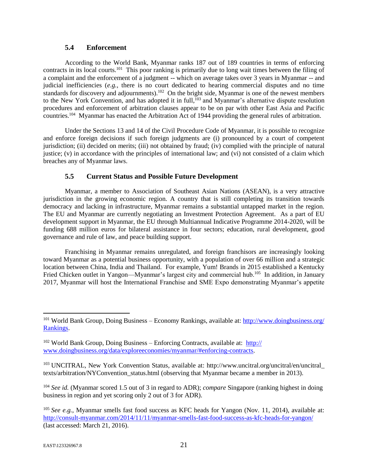### **5.4 Enforcement**

According to the World Bank, Myanmar ranks 187 out of 189 countries in terms of enforcing contracts in its local courts.<sup>101</sup> This poor ranking is primarily due to long wait times between the filing of a complaint and the enforcement of a judgment -- which on average takes over 3 years in Myanmar -- and judicial inefficiencies (*e.g.*, there is no court dedicated to hearing commercial disputes and no time standards for discovery and adjournments).<sup>102</sup> On the bright side, Myanmar is one of the newest members to the New York Convention, and has adopted it in full,<sup>103</sup> and Myanmar's alternative dispute resolution procedures and enforcement of arbitration clauses appear to be on par with other East Asia and Pacific countries.<sup>104</sup> Myanmar has enacted the Arbitration Act of 1944 providing the general rules of arbitration.

Under the Sections 13 and 14 of the Civil Procedure Code of Myanmar, it is possible to recognize and enforce foreign decisions if such foreign judgments are (i) pronounced by a court of competent jurisdiction; (ii) decided on merits; (iii) not obtained by fraud; (iv) complied with the principle of natural justice; (v) in accordance with the principles of international law; and (vi) not consisted of a claim which breaches any of Myanmar laws.

## **5.5 Current Status and Possible Future Development**

Myanmar, a member to Association of Southeast Asian Nations (ASEAN), is a very attractive jurisdiction in the growing economic region. A country that is still completing its transition towards democracy and lacking in infrastructure, Myanmar remains a substantial untapped market in the region. The EU and Myanmar are currently negotiating an Investment Protection Agreement. As a part of EU development support in Myanmar, the EU through Multiannual Indicative Programme 2014-2020, will be funding 688 million euros for bilateral assistance in four sectors; education, rural development, good governance and rule of law, and peace building support.

Franchising in Myanmar remains unregulated, and foreign franchisors are increasingly looking toward Myanmar as a potential business opportunity, with a population of over 66 million and a strategic location between China, India and Thailand. For example, Yum! Brands in 2015 established a Kentucky Fried Chicken outlet in Yangon—Myanmar's largest city and commercial hub.<sup>105</sup> In addition, in January 2017, Myanmar will host the International Franchise and SME Expo demonstrating Myanmar's appetite

<sup>103</sup> UNCITRAL, New York Convention Status, available at: http://www.uncitral.org/uncitral/en/uncitral\_ texts/arbitration/NYConvention\_status.html (observing that Myanmar became a member in 2013).

<sup>104</sup> *See id.* (Myanmar scored 1.5 out of 3 in regard to ADR); *compare* Singapore (ranking highest in doing business in region and yet scoring only 2 out of 3 for ADR).

<sup>101</sup> World Bank Group, Doing Business – Economy Rankings, available at: [http://www.doingbusiness.org/](http://www.doingbusiness.org/‌Rankings) [Rankings.](http://www.doingbusiness.org/‌Rankings)

 $102$  World Bank Group, Doing Business – Enforcing Contracts, available at: [http://](http://www.doingbusiness.org/‌data/‌exploreeconomies/‌myanmar/#enforcing-‌contracts) [www.doingbusiness.org/data/exploreeconomies/myanmar/#enforcing-contracts.](http://www.doingbusiness.org/‌data/‌exploreeconomies/‌myanmar/#enforcing-‌contracts)

<sup>105</sup> *See e.g.*, Myanmar smells fast food success as KFC heads for Yangon (Nov. 11, 2014), available at: <http://consult-myanmar.com/2014/11/11/myanmar-smells-fast-food-success-as-kfc-heads-for-yangon/> (last accessed: March 21, 2016).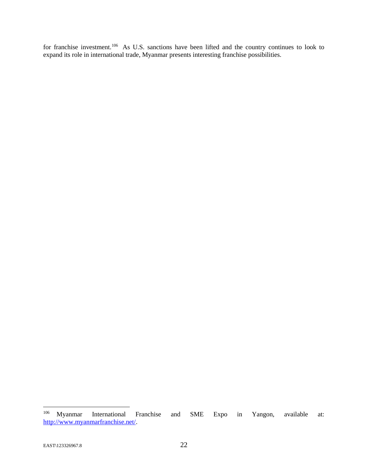for franchise investment.<sup>106</sup> As U.S. sanctions have been lifted and the country continues to look to expand its role in international trade, Myanmar presents interesting franchise possibilities.

 $^{106}$  Myanmar International Franchise and SME Expo in Yangon, available at: [http://www.myanmarfranchise.net/.](http://www.myanmarfranchise.net/)